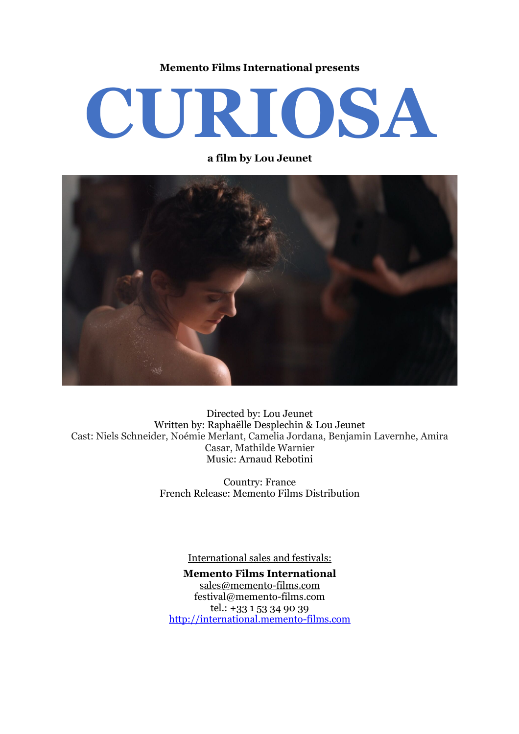#### **Memento Films International presents**

# **CURIOSA**

**a film by Lou Jeunet**



Directed by: Lou Jeunet Written by: Raphaëlle Desplechin & Lou Jeunet Cast: Niels Schneider, Noémie Merlant, Camelia Jordana, Benjamin Lavernhe, Amira Casar, Mathilde Warnier Music: Arnaud Rebotini

> Country: France French Release: Memento Films Distribution

> > International sales and festivals:

**Memento Films International** sales@memento-films.com festival@memento-films.com tel.: +33 1 53 34 90 39 http://international.memento-films.com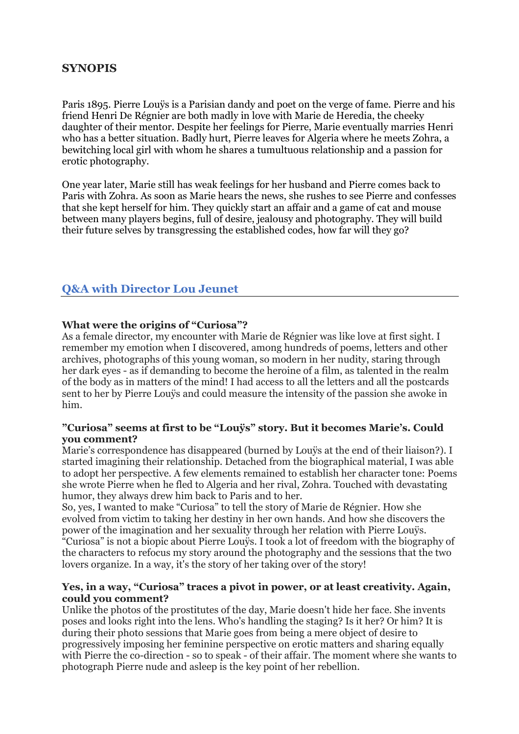## **SYNOPIS**

Paris 1895. Pierre Louÿs is a Parisian dandy and poet on the verge of fame. Pierre and his friend Henri De Régnier are both madly in love with Marie de Heredia, the cheeky daughter of their mentor. Despite her feelings for Pierre, Marie eventually marries Henri who has a better situation. Badly hurt, Pierre leaves for Algeria where he meets Zohra, a bewitching local girl with whom he shares a tumultuous relationship and a passion for erotic photography.

One year later, Marie still has weak feelings for her husband and Pierre comes back to Paris with Zohra. As soon as Marie hears the news, she rushes to see Pierre and confesses that she kept herself for him. They quickly start an affair and a game of cat and mouse between many players begins, full of desire, jealousy and photography. They will build their future selves by transgressing the established codes, how far will they go?

# **Q&A with Director Lou Jeunet**

#### **What were the origins of "Curiosa"?**

As a female director, my encounter with Marie de Régnier was like love at first sight. I remember my emotion when I discovered, among hundreds of poems, letters and other archives, photographs of this young woman, so modern in her nudity, staring through her dark eyes - as if demanding to become the heroine of a film, as talented in the realm of the body as in matters of the mind! I had access to all the letters and all the postcards sent to her by Pierre Louÿs and could measure the intensity of the passion she awoke in him.

#### **"Curiosa" seems at first to be "Louÿs" story. But it becomes Marie's. Could you comment?**

Marie's correspondence has disappeared (burned by Louvs at the end of their liaison?). I started imagining their relationship. Detached from the biographical material, I was able to adopt her perspective. A few elements remained to establish her character tone: Poems she wrote Pierre when he fled to Algeria and her rival, Zohra. Touched with devastating humor, they always drew him back to Paris and to her.

So, yes, I wanted to make "Curiosa" to tell the story of Marie de Régnier. How she evolved from victim to taking her destiny in her own hands. And how she discovers the power of the imagination and her sexuality through her relation with Pierre Louÿs. "Curiosa" is not a biopic about Pierre Louÿs. I took a lot of freedom with the biography of the characters to refocus my story around the photography and the sessions that the two lovers organize. In a way, it's the story of her taking over of the story!

#### **Yes, in a way, "Curiosa" traces a pivot in power, or at least creativity. Again, could you comment?**

Unlike the photos of the prostitutes of the day, Marie doesn't hide her face. She invents poses and looks right into the lens. Who's handling the staging? Is it her? Or him? It is during their photo sessions that Marie goes from being a mere object of desire to progressively imposing her feminine perspective on erotic matters and sharing equally with Pierre the co-direction - so to speak - of their affair. The moment where she wants to photograph Pierre nude and asleep is the key point of her rebellion.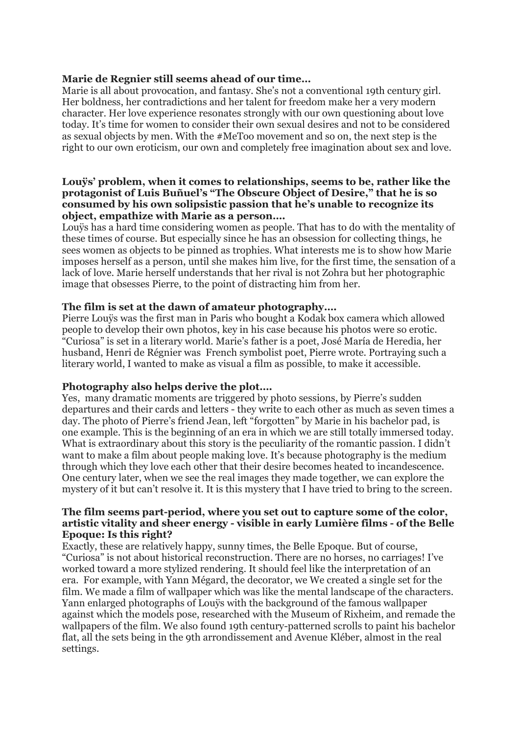#### **Marie de Regnier still seems ahead of our time…**

Marie is all about provocation, and fantasy. She's not a conventional 19th century girl. Her boldness, her contradictions and her talent for freedom make her a very modern character. Her love experience resonates strongly with our own questioning about love today. It's time for women to consider their own sexual desires and not to be considered as sexual objects by men. With the #MeToo movement and so on, the next step is the right to our own eroticism, our own and completely free imagination about sex and love.

#### **Louÿs' problem, when it comes to relationships, seems to be, rather like the protagonist of Luis Buñuel's "The Obscure Object of Desire," that he is so consumed by his own solipsistic passion that he's unable to recognize its object, empathize with Marie as a person….**

Louÿs has a hard time considering women as people. That has to do with the mentality of these times of course. But especially since he has an obsession for collecting things, he sees women as objects to be pinned as trophies. What interests me is to show how Marie imposes herself as a person, until she makes him live, for the first time, the sensation of a lack of love. Marie herself understands that her rival is not Zohra but her photographic image that obsesses Pierre, to the point of distracting him from her.

#### **The film is set at the dawn of amateur photography….**

Pierre Louÿs was the first man in Paris who bought a Kodak box camera which allowed people to develop their own photos, key in his case because his photos were so erotic. "Curiosa" is set in a literary world. Marie's father is a poet, José María de Heredia, her husband, Henri de Régnier was French symbolist poet, Pierre wrote. Portraying such a literary world, I wanted to make as visual a film as possible, to make it accessible.

#### **Photography also helps derive the plot….**

Yes, many dramatic moments are triggered by photo sessions, by Pierre's sudden departures and their cards and letters - they write to each other as much as seven times a day. The photo of Pierre's friend Jean, left "forgotten" by Marie in his bachelor pad, is one example. This is the beginning of an era in which we are still totally immersed today. What is extraordinary about this story is the peculiarity of the romantic passion. I didn't want to make a film about people making love. It's because photography is the medium through which they love each other that their desire becomes heated to incandescence. One century later, when we see the real images they made together, we can explore the mystery of it but can't resolve it. It is this mystery that I have tried to bring to the screen.

#### **The film seems part-period, where you set out to capture some of the color, artistic vitality and sheer energy - visible in early Lumière films - of the Belle Epoque: Is this right?**

Exactly, these are relatively happy, sunny times, the Belle Epoque. But of course, "Curiosa" is not about historical reconstruction. There are no horses, no carriages! I've worked toward a more stylized rendering. It should feel like the interpretation of an era. For example, with Yann Mégard, the decorator, we We created a single set for the film. We made a film of wallpaper which was like the mental landscape of the characters. Yann enlarged photographs of Louÿs with the background of the famous wallpaper against which the models pose, researched with the Museum of Rixheim, and remade the wallpapers of the film. We also found 19th century-patterned scrolls to paint his bachelor flat, all the sets being in the 9th arrondissement and Avenue Kléber, almost in the real settings.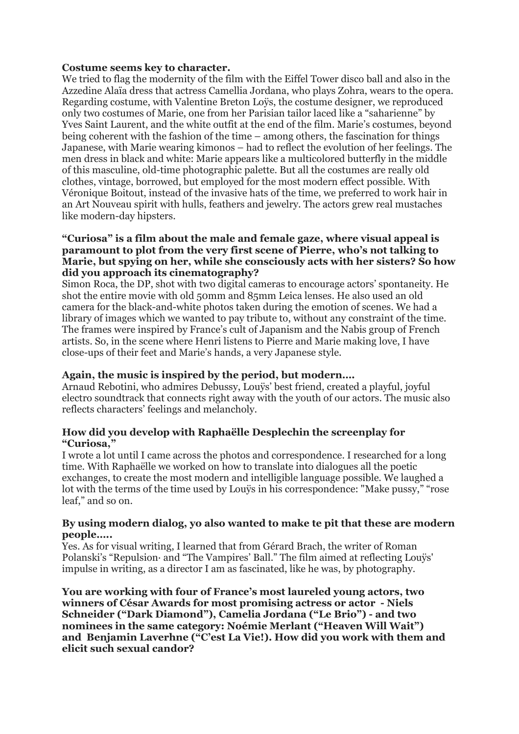#### **Costume seems key to character.**

We tried to flag the modernity of the film with the Eiffel Tower disco ball and also in the Azzedine Alaïa dress that actress Camellia Jordana, who plays Zohra, wears to the opera. Regarding costume, with Valentine Breton Loÿs, the costume designer, we reproduced only two costumes of Marie, one from her Parisian tailor laced like a "saharienne" by Yves Saint Laurent, and the white outfit at the end of the film. Marie's costumes, beyond being coherent with the fashion of the time – among others, the fascination for things Japanese, with Marie wearing kimonos – had to reflect the evolution of her feelings. The men dress in black and white: Marie appears like a multicolored butterfly in the middle of this masculine, old-time photographic palette. But all the costumes are really old clothes, vintage, borrowed, but employed for the most modern effect possible. With Véronique Boitout, instead of the invasive hats of the time, we preferred to work hair in an Art Nouveau spirit with hulls, feathers and jewelry. The actors grew real mustaches like modern-day hipsters.

#### **"Curiosa" is a film about the male and female gaze, where visual appeal is paramount to plot from the very first scene of Pierre, who's not talking to Marie, but spying on her, while she consciously acts with her sisters? So how did you approach its cinematography?**

Simon Roca, the DP, shot with two digital cameras to encourage actors' spontaneity. He shot the entire movie with old 50mm and 85mm Leica lenses. He also used an old camera for the black-and-white photos taken during the emotion of scenes. We had a library of images which we wanted to pay tribute to, without any constraint of the time. The frames were inspired by France's cult of Japanism and the Nabis group of French artists. So, in the scene where Henri listens to Pierre and Marie making love, I have close-ups of their feet and Marie's hands, a very Japanese style.

## **Again, the music is inspired by the period, but modern….**

Arnaud Rebotini, who admires Debussy, Louÿs' best friend, created a playful, joyful electro soundtrack that connects right away with the youth of our actors. The music also reflects characters' feelings and melancholy.

#### **How did you develop with Raphaëlle Desplechin the screenplay for "Curiosa,"**

I wrote a lot until I came across the photos and correspondence. I researched for a long time. With Raphaëlle we worked on how to translate into dialogues all the poetic exchanges, to create the most modern and intelligible language possible. We laughed a lot with the terms of the time used by Louÿs in his correspondence: "Make pussy," "rose leaf," and so on.

#### **By using modern dialog, yo also wanted to make te pit that these are modern people…..**

Yes. As for visual writing, I learned that from Gérard Brach, the writer of Roman Polanski's "Repulsion· and "The Vampires' Ball." The film aimed at reflecting Louÿs' impulse in writing, as a director I am as fascinated, like he was, by photography.

**You are working with four of France's most laureled young actors, two winners of César Awards for most promising actress or actor - Niels Schneider ("Dark Diamond"), Camelia Jordana ("Le Brio") - and two nominees in the same category: Noémie Merlant ("Heaven Will Wait") and Benjamin Laverhne ("C'est La Vie!). How did you work with them and elicit such sexual candor?**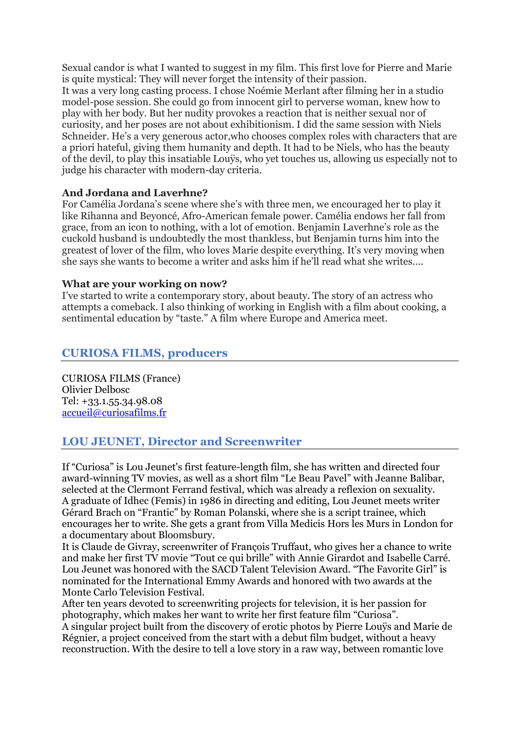Sexual candor is what I wanted to suggest in my film. This first love for Pierre and Marie is quite mystical: They will never forget the intensity of their passion. It was a very long casting process. I chose Noémie Merlant after filming her in a studio model-pose session. She could go from innocent girl to perverse woman, knew how to play with her body. But her nudity provokes a reaction that is neither sexual nor of curiosity, and her poses are not about exhibitionism. I did the same session with Niels Schneider. He's a very generous actor,who chooses complex roles with characters that are a priori hateful, giving them humanity and depth. It had to be Niels, who has the beauty of the devil, to play this insatiable Louÿs, who yet touches us, allowing us especially not to judge his character with modern-day criteria.

## **And Jordana and Laverhne?**

For Camélia Jordana's scene where she's with three men, we encouraged her to play it like Rihanna and Beyoncé, Afro-American female power. Camélia endows her fall from grace, from an icon to nothing, with a lot of emotion. Benjamin Laverhne's role as the cuckold husband is undoubtedly the most thankless, but Benjamin turns him into the greatest of lover of the film, who loves Marie despite everything. It's very moving when she says she wants to become a writer and asks him if he'll read what she writes….

#### **What are your working on now?**

I've started to write a contemporary story, about beauty. The story of an actress who attempts a comeback. I also thinking of working in English with a film about cooking, a sentimental education by "taste." A film where Europe and America meet.

# **CURIOSA FILMS, producers**

CURIOSA FILMS (France) Olivier Delbosc Tel: +33.1.55.34.98.08 accueil@curiosafilms.fr

# **LOU JEUNET, Director and Screenwriter**

If "Curiosa" is Lou Jeunet's first feature-length film, she has written and directed four award-winning TV movies, as well as a short film "Le Beau Pavel" with Jeanne Balibar, selected at the Clermont Ferrand festival, which was already a reflexion on sexuality. A graduate of Idhec (Femis) in 1986 in directing and editing, Lou Jeunet meets writer Gérard Brach on "Frantic" by Roman Polanski, where she is a script trainee, which encourages her to write. She gets a grant from Villa Medicis Hors les Murs in London for a documentary about Bloomsbury.

It is Claude de Givray, screenwriter of François Truffaut, who gives her a chance to write and make her first TV movie "Tout ce qui brille" with Annie Girardot and Isabelle Carré. Lou Jeunet was honored with the SACD Talent Television Award. "The Favorite Girl" is nominated for the International Emmy Awards and honored with two awards at the Monte Carlo Television Festival.

After ten years devoted to screenwriting projects for television, it is her passion for photography, which makes her want to write her first feature film "Curiosa".

A singular project built from the discovery of erotic photos by Pierre Louÿs and Marie de Régnier, a project conceived from the start with a debut film budget, without a heavy reconstruction. With the desire to tell a love story in a raw way, between romantic love